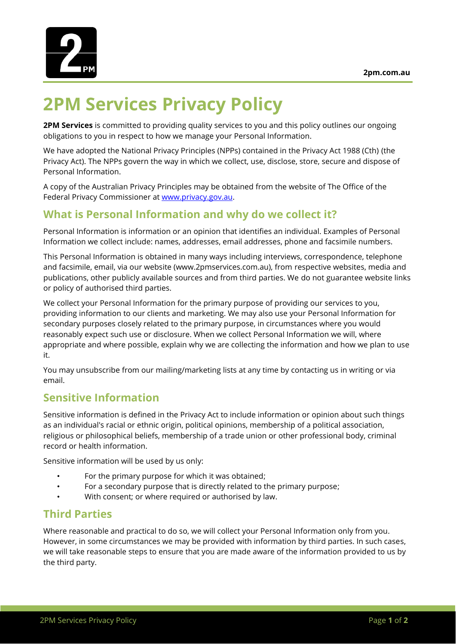

# **2PM Services Privacy Policy**

**2PM Services** is committed to providing quality services to you and this policy outlines our ongoing obligations to you in respect to how we manage your Personal Information.

We have adopted the National Privacy Principles (NPPs) contained in the Privacy Act 1988 (Cth) (the Privacy Act). The NPPs govern the way in which we collect, use, disclose, store, secure and dispose of Personal Information.

A copy of the Australian Privacy Principles may be obtained from the website of The Office of the Federal Privacy Commissioner at [www.privacy.gov.au.](http://www.privacy.gov.au/)

## **What is Personal Information and why do we collect it?**

Personal Information is information or an opinion that identifies an individual. Examples of Personal Information we collect include: names, addresses, email addresses, phone and facsimile numbers.

This Personal Information is obtained in many ways including interviews, correspondence, telephone and facsimile, email, via our website (www.2pmservices.com.au), from respective websites, media and publications, other publicly available sources and from third parties. We do not guarantee website links or policy of authorised third parties.

We collect your Personal Information for the primary purpose of providing our services to you, providing information to our clients and marketing. We may also use your Personal Information for secondary purposes closely related to the primary purpose, in circumstances where you would reasonably expect such use or disclosure. When we collect Personal Information we will, where appropriate and where possible, explain why we are collecting the information and how we plan to use it.

You may unsubscribe from our mailing/marketing lists at any time by contacting us in writing or via email.

#### **Sensitive Information**

Sensitive information is defined in the Privacy Act to include information or opinion about such things as an individual's racial or ethnic origin, political opinions, membership of a political association, religious or philosophical beliefs, membership of a trade union or other professional body, criminal record or health information.

Sensitive information will be used by us only:

- For the primary purpose for which it was obtained;
- For a secondary purpose that is directly related to the primary purpose;
- With consent; or where required or authorised by law.

# **Third Parties**

Where reasonable and practical to do so, we will collect your Personal Information only from you. However, in some circumstances we may be provided with information by third parties. In such cases, we will take reasonable steps to ensure that you are made aware of the information provided to us by the third party.